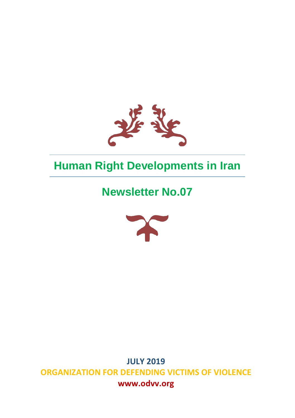

### **Human Right Developments in Iran**

### **Newsletter No.07**



**JULY 2019 ORGANIZATION FOR DEFENDING VICTIMS OF VIOLENCE www.odvv.org**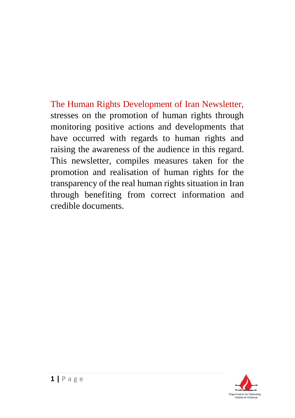The Human Rights Development of Iran Newsletter, stresses on the promotion of human rights through monitoring positive actions and developments that have occurred with regards to human rights and raising the awareness of the audience in this regard. This newsletter, compiles measures taken for the promotion and realisation of human rights for the transparency of the real human rights situation in Iran through benefiting from correct information and credible documents.

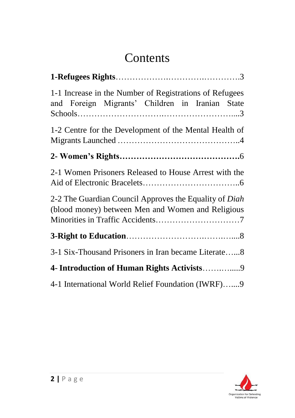### **Contents**

| 1-1 Increase in the Number of Registrations of Refugees<br>and Foreign Migrants' Children in Iranian State  |
|-------------------------------------------------------------------------------------------------------------|
| 1-2 Centre for the Development of the Mental Health of                                                      |
|                                                                                                             |
| 2-1 Women Prisoners Released to House Arrest with the                                                       |
| 2-2 The Guardian Council Approves the Equality of Diah<br>(blood money) between Men and Women and Religious |
|                                                                                                             |
| 3-1 Six-Thousand Prisoners in Iran became Literate8                                                         |
| 4- Introduction of Human Rights Activists9                                                                  |
| 4-1 International World Relief Foundation (IWRF)9                                                           |

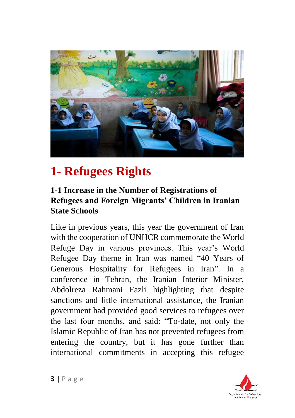

### **1- Refugees Rights**

#### **1-1 Increase in the Number of Registrations of Refugees and Foreign Migrants' Children in Iranian State Schools**

Like in previous years, this year the government of Iran with the cooperation of UNHCR commemorate the World Refuge Day in various provinces. This year's World Refugee Day theme in Iran was named "40 Years of Generous Hospitality for Refugees in Iran". In a conference in Tehran, the Iranian Interior Minister, Abdolreza Rahmani Fazli highlighting that despite sanctions and little international assistance, the Iranian government had provided good services to refugees over the last four months, and said: "To-date, not only the Islamic Republic of Iran has not prevented refugees from entering the country, but it has gone further than international commitments in accepting this refugee

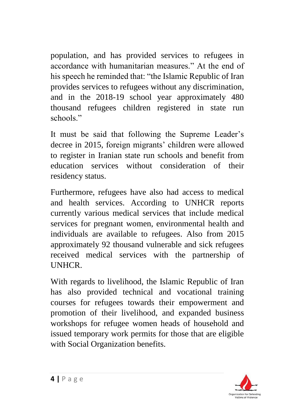population, and has provided services to refugees in accordance with humanitarian measures." At the end of his speech he reminded that: "the Islamic Republic of Iran provides services to refugees without any discrimination, and in the 2018-19 school year approximately 480 thousand refugees children registered in state run schools"

It must be said that following the Supreme Leader's decree in 2015, foreign migrants' children were allowed to register in Iranian state run schools and benefit from education services without consideration of their residency status.

Furthermore, refugees have also had access to medical and health services. According to UNHCR reports currently various medical services that include medical services for pregnant women, environmental health and individuals are available to refugees. Also from 2015 approximately 92 thousand vulnerable and sick refugees received medical services with the partnership of UNHCR.

With regards to livelihood, the Islamic Republic of Iran has also provided technical and vocational training courses for refugees towards their empowerment and promotion of their livelihood, and expanded business workshops for refugee women heads of household and issued temporary work permits for those that are eligible with Social Organization benefits.

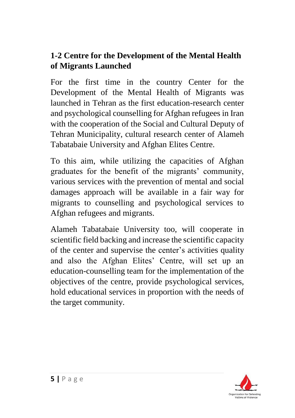#### **1-2 Centre for the Development of the Mental Health of Migrants Launched**

For the first time in the country Center for the Development of the Mental Health of Migrants was launched in Tehran as the first education-research center and psychological counselling for Afghan refugees in Iran with the cooperation of the Social and Cultural Deputy of Tehran Municipality, cultural research center of Alameh Tabatabaie University and Afghan Elites Centre.

To this aim, while utilizing the capacities of Afghan graduates for the benefit of the migrants' community, various services with the prevention of mental and social damages approach will be available in a fair way for migrants to counselling and psychological services to Afghan refugees and migrants.

Alameh Tabatabaie University too, will cooperate in scientific field backing and increase the scientific capacity of the center and supervise the center's activities quality and also the Afghan Elites' Centre, will set up an education-counselling team for the implementation of the objectives of the centre, provide psychological services, hold educational services in proportion with the needs of the target community.

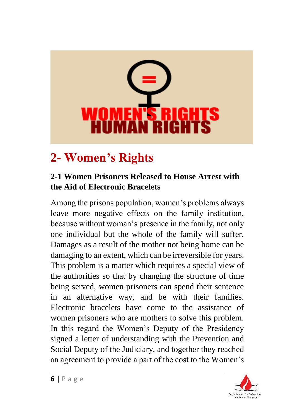

## **2- Women's Rights**

#### **2-1 Women Prisoners Released to House Arrest with the Aid of Electronic Bracelets**

Among the prisons population, women's problems always leave more negative effects on the family institution, because without woman's presence in the family, not only one individual but the whole of the family will suffer. Damages as a result of the mother not being home can be damaging to an extent, which can be irreversible for years. This problem is a matter which requires a special view of the authorities so that by changing the structure of time being served, women prisoners can spend their sentence in an alternative way, and be with their families. Electronic bracelets have come to the assistance of women prisoners who are mothers to solve this problem. In this regard the Women's Deputy of the Presidency signed a letter of understanding with the Prevention and Social Deputy of the Judiciary, and together they reached an agreement to provide a part of the cost to the Women's

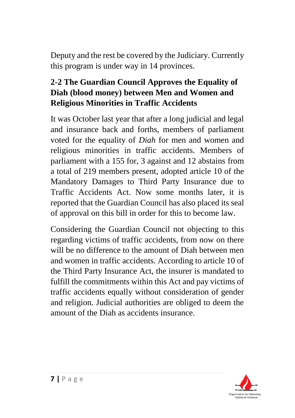Deputy and the rest be covered by the Judiciary. Currently this program is under way in 14 provinces.

#### **2-2 The Guardian Council Approves the Equality of Diah (blood money) between Men and Women and Religious Minorities in Traffic Accidents**

It was October last year that after a long judicial and legal and insurance back and forths, members of parliament voted for the equality of *Diah* for men and women and religious minorities in traffic accidents. Members of parliament with a 155 for, 3 against and 12 abstains from a total of 219 members present, adopted article 10 of the Mandatory Damages to Third Party Insurance due to Traffic Accidents Act. Now some months later, it is reported that the Guardian Council has also placed its seal of approval on this bill in order for this to become law.

Considering the Guardian Council not objecting to this regarding victims of traffic accidents, from now on there will be no difference to the amount of Diah between men and women in traffic accidents. According to article 10 of the Third Party Insurance Act, the insurer is mandated to fulfill the commitments within this Act and pay victims of traffic accidents equally without consideration of gender and religion. Judicial authorities are obliged to deem the amount of the Diah as accidents insurance.

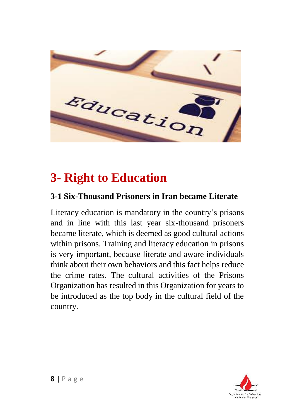

## **3- Right to Education**

#### **3-1 Six-Thousand Prisoners in Iran became Literate**

Literacy education is mandatory in the country's prisons and in line with this last year six-thousand prisoners became literate, which is deemed as good cultural actions within prisons. Training and literacy education in prisons is very important, because literate and aware individuals think about their own behaviors and this fact helps reduce the crime rates. The cultural activities of the Prisons Organization has resulted in this Organization for years to be introduced as the top body in the cultural field of the country.

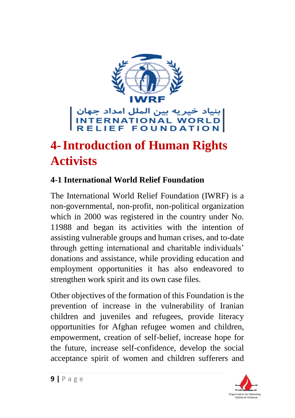

بنیاد خیریه بین الملل امداد جهان<br>INTERNATIONAL WORLD<br>RELIEF FOUNDATION

# **4-Introduction of Human Rights Activists**

#### **4-1 International World Relief Foundation**

The International World Relief Foundation (IWRF) is a non-governmental, non-profit, non-political organization which in 2000 was registered in the country under No. 11988 and began its activities with the intention of assisting vulnerable groups and human crises, and to-date through getting international and charitable individuals' donations and assistance, while providing education and employment opportunities it has also endeavored to strengthen work spirit and its own case files.

Other objectives of the formation of this Foundation is the prevention of increase in the vulnerability of Iranian children and juveniles and refugees, provide literacy opportunities for Afghan refugee women and children, empowerment, creation of self-belief, increase hope for the future, increase self-confidence, develop the social acceptance spirit of women and children sufferers and